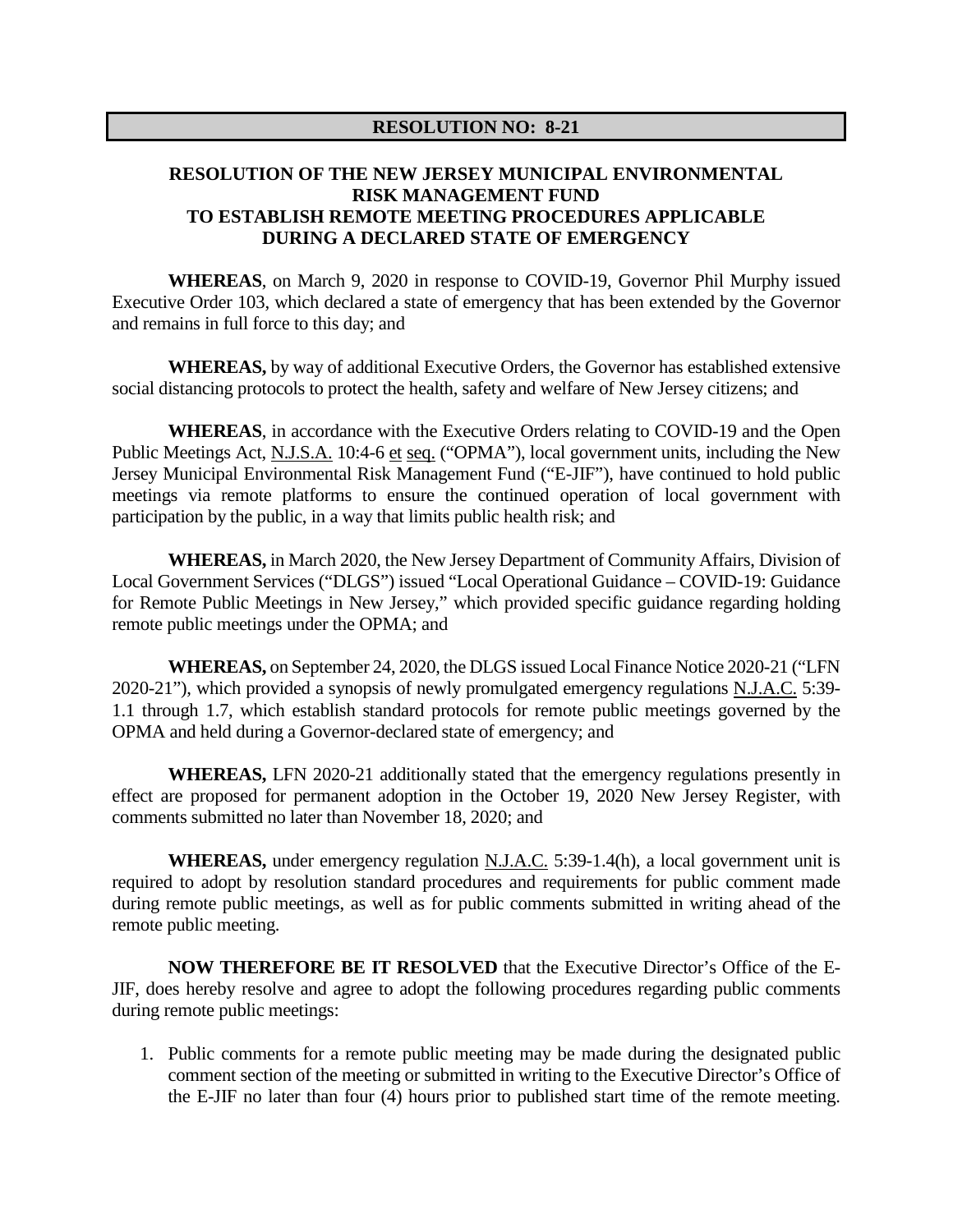## **RESOLUTION OF THE NEW JERSEY MUNICIPAL ENVIRONMENTAL RISK MANAGEMENT FUND TO ESTABLISH REMOTE MEETING PROCEDURES APPLICABLE DURING A DECLARED STATE OF EMERGENCY**

**WHEREAS**, on March 9, 2020 in response to COVID-19, Governor Phil Murphy issued Executive Order 103, which declared a state of emergency that has been extended by the Governor and remains in full force to this day; and

**WHEREAS,** by way of additional Executive Orders, the Governor has established extensive social distancing protocols to protect the health, safety and welfare of New Jersey citizens; and

**WHEREAS**, in accordance with the Executive Orders relating to COVID-19 and the Open Public Meetings Act, N.J.S.A. 10:4-6 et seq. ("OPMA"), local government units, including the New Jersey Municipal Environmental Risk Management Fund ("E-JIF"), have continued to hold public meetings via remote platforms to ensure the continued operation of local government with participation by the public, in a way that limits public health risk; and

**WHEREAS,** in March 2020, the New Jersey Department of Community Affairs, Division of Local Government Services ("DLGS") issued "Local Operational Guidance – COVID-19: Guidance for Remote Public Meetings in New Jersey," which provided specific guidance regarding holding remote public meetings under the OPMA; and

**WHEREAS,** on September 24, 2020, the DLGS issued Local Finance Notice 2020-21 ("LFN 2020-21"), which provided a synopsis of newly promulgated emergency regulations N.J.A.C. 5:39- 1.1 through 1.7, which establish standard protocols for remote public meetings governed by the OPMA and held during a Governor-declared state of emergency; and

**WHEREAS,** LFN 2020-21 additionally stated that the emergency regulations presently in effect are proposed for permanent adoption in the October 19, 2020 New Jersey Register, with comments submitted no later than November 18, 2020; and

**WHEREAS,** under emergency regulation N.J.A.C. 5:39-1.4(h), a local government unit is required to adopt by resolution standard procedures and requirements for public comment made during remote public meetings, as well as for public comments submitted in writing ahead of the remote public meeting.

**NOW THEREFORE BE IT RESOLVED** that the Executive Director's Office of the E-JIF, does hereby resolve and agree to adopt the following procedures regarding public comments during remote public meetings:

1. Public comments for a remote public meeting may be made during the designated public comment section of the meeting or submitted in writing to the Executive Director's Office of the E-JIF no later than four (4) hours prior to published start time of the remote meeting.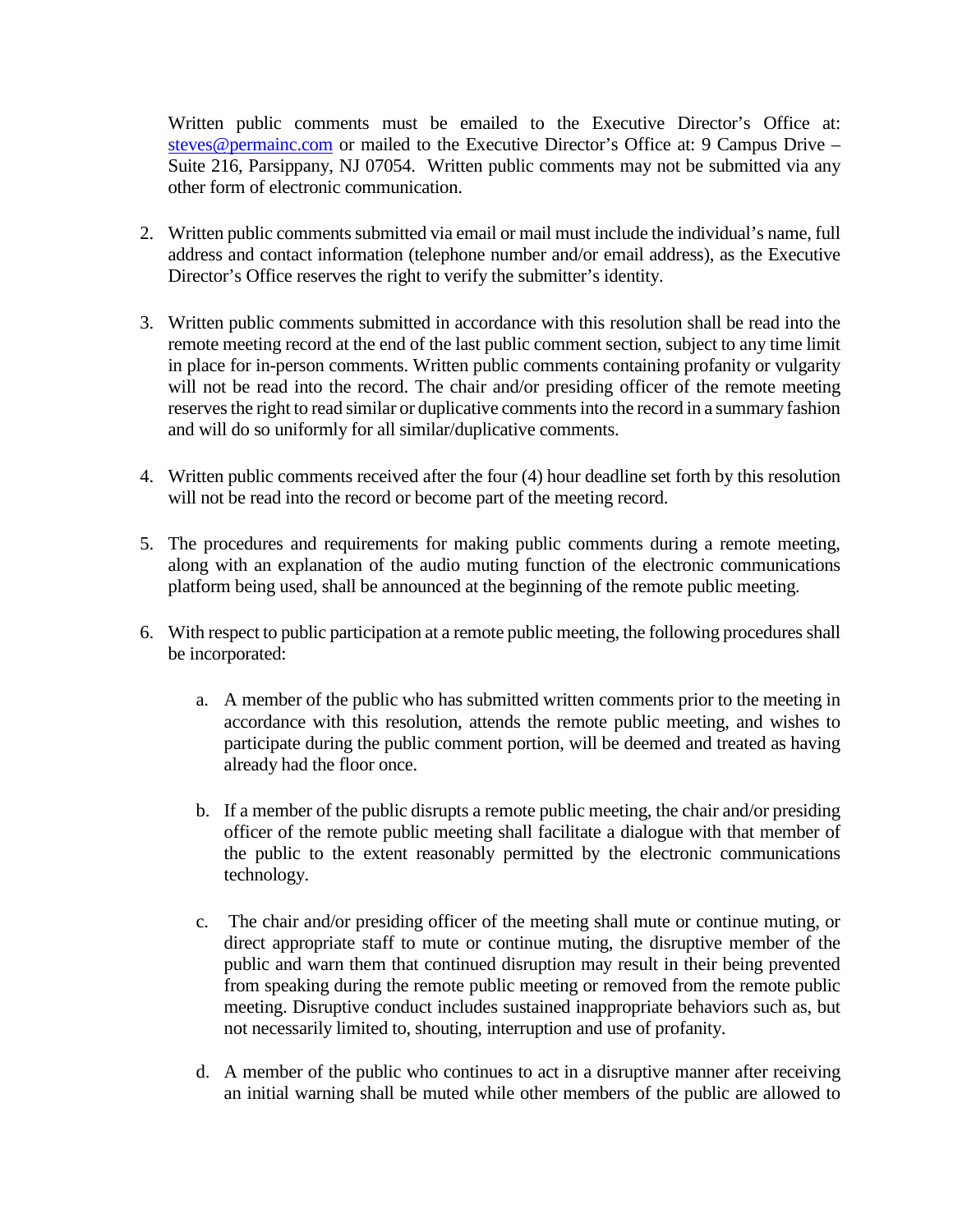Written public comments must be emailed to the Executive Director's Office at: [steves@permainc.com](mailto:steves@permainc.com) or mailed to the Executive Director's Office at: 9 Campus Drive – Suite 216, Parsippany, NJ 07054. Written public comments may not be submitted via any other form of electronic communication.

- 2. Written public comments submitted via email or mail must include the individual's name, full address and contact information (telephone number and/or email address), as the Executive Director's Office reserves the right to verify the submitter's identity.
- 3. Written public comments submitted in accordance with this resolution shall be read into the remote meeting record at the end of the last public comment section, subject to any time limit in place for in-person comments. Written public comments containing profanity or vulgarity will not be read into the record. The chair and/or presiding officer of the remote meeting reserves the right to read similar or duplicative comments into the record in a summary fashion and will do so uniformly for all similar/duplicative comments.
- 4. Written public comments received after the four (4) hour deadline set forth by this resolution will not be read into the record or become part of the meeting record.
- 5. The procedures and requirements for making public comments during a remote meeting, along with an explanation of the audio muting function of the electronic communications platform being used, shall be announced at the beginning of the remote public meeting.
- 6. With respect to public participation at a remote public meeting, the following procedures shall be incorporated:
	- a. A member of the public who has submitted written comments prior to the meeting in accordance with this resolution, attends the remote public meeting, and wishes to participate during the public comment portion, will be deemed and treated as having already had the floor once.
	- b. If a member of the public disrupts a remote public meeting, the chair and/or presiding officer of the remote public meeting shall facilitate a dialogue with that member of the public to the extent reasonably permitted by the electronic communications technology.
	- c. The chair and/or presiding officer of the meeting shall mute or continue muting, or direct appropriate staff to mute or continue muting, the disruptive member of the public and warn them that continued disruption may result in their being prevented from speaking during the remote public meeting or removed from the remote public meeting. Disruptive conduct includes sustained inappropriate behaviors such as, but not necessarily limited to, shouting, interruption and use of profanity.
	- d. A member of the public who continues to act in a disruptive manner after receiving an initial warning shall be muted while other members of the public are allowed to